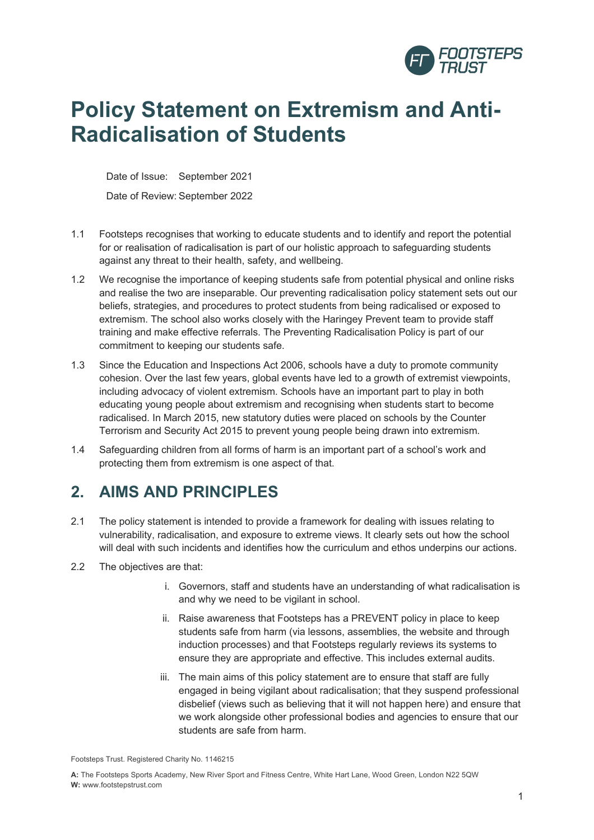

# **Policy Statement on Extremism and Anti-Radicalisation of Students**

Date of Issue: September 2021 Date of Review: September 2022

- 1.1 Footsteps recognises that working to educate students and to identify and report the potential for or realisation of radicalisation is part of our holistic approach to safeguarding students against any threat to their health, safety, and wellbeing.
- 1.2 We recognise the importance of keeping students safe from potential physical and online risks and realise the two are inseparable. Our preventing radicalisation policy statement sets out our beliefs, strategies, and procedures to protect students from being radicalised or exposed to extremism. The school also works closely with the Haringey Prevent team to provide staff training and make effective referrals. The Preventing Radicalisation Policy is part of our commitment to keeping our students safe.
- 1.3 Since the Education and Inspections Act 2006, schools have a duty to promote community cohesion. Over the last few years, global events have led to a growth of extremist viewpoints, including advocacy of violent extremism. Schools have an important part to play in both educating young people about extremism and recognising when students start to become radicalised. In March 2015, new statutory duties were placed on schools by the Counter Terrorism and Security Act 2015 to prevent young people being drawn into extremism.
- 1.4 Safeguarding children from all forms of harm is an important part of a school's work and protecting them from extremism is one aspect of that.

#### **2. AIMS AND PRINCIPLES**

- 2.1 The policy statement is intended to provide a framework for dealing with issues relating to vulnerability, radicalisation, and exposure to extreme views. It clearly sets out how the school will deal with such incidents and identifies how the curriculum and ethos underpins our actions.
- 2.2 The objectives are that:
	- i. Governors, staff and students have an understanding of what radicalisation is and why we need to be vigilant in school.
	- ii. Raise awareness that Footsteps has a PREVENT policy in place to keep students safe from harm (via lessons, assemblies, the website and through induction processes) and that Footsteps regularly reviews its systems to ensure they are appropriate and effective. This includes external audits.
	- iii. The main aims of this policy statement are to ensure that staff are fully engaged in being vigilant about radicalisation; that they suspend professional disbelief (views such as believing that it will not happen here) and ensure that we work alongside other professional bodies and agencies to ensure that our students are safe from harm.

Footsteps Trust. Registered Charity No. 1146215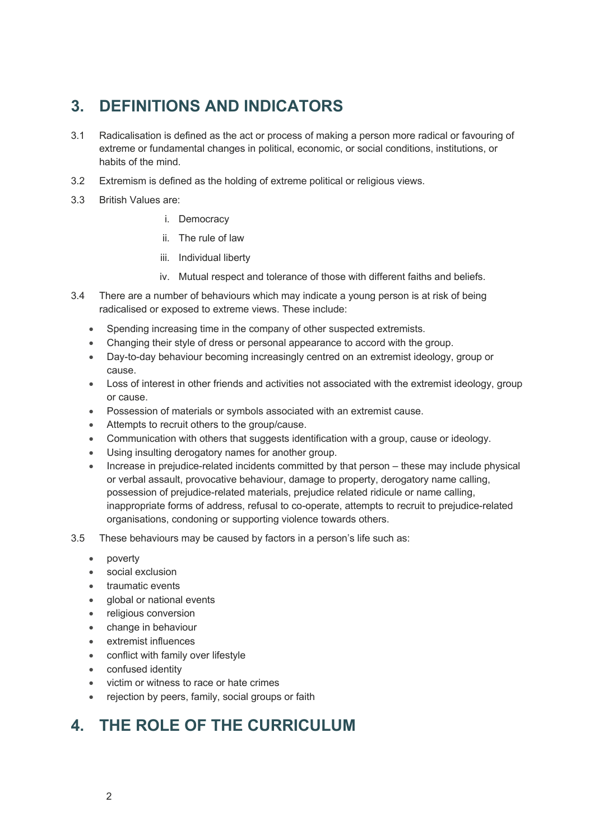### **3. DEFINITIONS AND INDICATORS**

- 3.1 Radicalisation is defined as the act or process of making a person more radical or favouring of extreme or fundamental changes in political, economic, or social conditions, institutions, or habits of the mind.
- 3.2 Extremism is defined as the holding of extreme political or religious views.
- 3.3 British Values are:
	- i. Democracy
	- ii. The rule of law
	- iii. Individual liberty
	- iv. Mutual respect and tolerance of those with different faiths and beliefs.
- 3.4 There are a number of behaviours which may indicate a young person is at risk of being radicalised or exposed to extreme views. These include:
	- Spending increasing time in the company of other suspected extremists.
	- Changing their style of dress or personal appearance to accord with the group.
	- Day-to-day behaviour becoming increasingly centred on an extremist ideology, group or cause.
	- Loss of interest in other friends and activities not associated with the extremist ideology, group or cause.
	- Possession of materials or symbols associated with an extremist cause.
	- Attempts to recruit others to the group/cause.
	- Communication with others that suggests identification with a group, cause or ideology.
	- Using insulting derogatory names for another group.
	- Increase in prejudice-related incidents committed by that person these may include physical or verbal assault, provocative behaviour, damage to property, derogatory name calling, possession of prejudice-related materials, prejudice related ridicule or name calling, inappropriate forms of address, refusal to co-operate, attempts to recruit to prejudice-related organisations, condoning or supporting violence towards others.
- 3.5 These behaviours may be caused by factors in a person's life such as:
	- poverty
	- social exclusion
	- traumatic events
	- global or national events
	- religious conversion
	- change in behaviour
	- extremist influences
	- conflict with family over lifestyle
	- confused identity
	- victim or witness to race or hate crimes
	- rejection by peers, family, social groups or faith

# **4. THE ROLE OF THE CURRICULUM**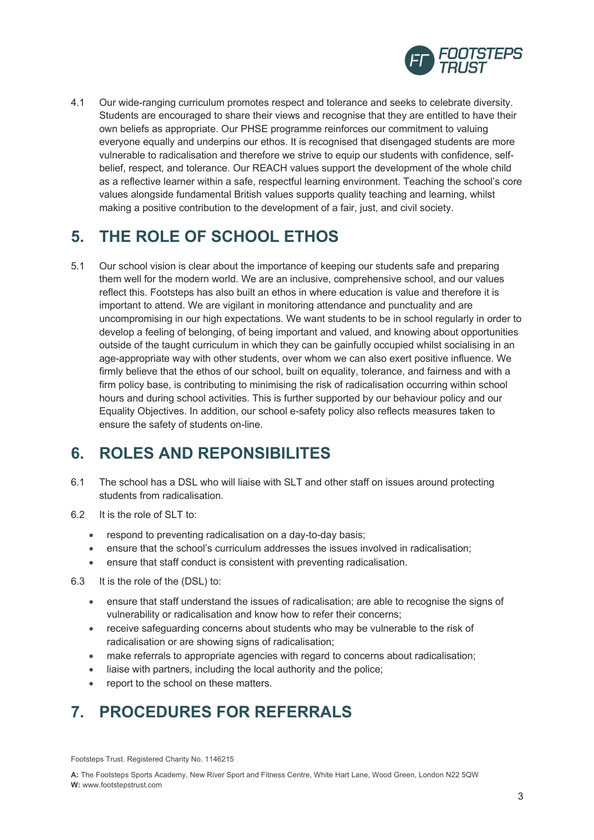

4.1 Our wide-ranging curriculum promotes respect and tolerance and seeks to celebrate diversity. Students are encouraged to share their views and recognise that they are entitled to have their own beliefs as appropriate. Our PHSE programme reinforces our commitment to valuing everyone equally and underpins our ethos. It is recognised that disengaged students are more vulnerable to radicalisation and therefore we strive to equip our students with confidence, selfbelief, respect, and tolerance. Our REACH values support the development of the whole child as a reflective learner within a safe, respectful learning environment. Teaching the school's core values alongside fundamental British values supports quality teaching and learning, whilst making a positive contribution to the development of a fair, just, and civil society.

#### **5. THE ROLE OF SCHOOL ETHOS**

5.1 Our school vision is clear about the importance of keeping our students safe and preparing them well for the modern world. We are an inclusive, comprehensive school, and our values reflect this. Footsteps has also built an ethos in where education is value and therefore it is important to attend. We are vigilant in monitoring attendance and punctuality and are uncompromising in our high expectations. We want students to be in school regularly in order to develop a feeling of belonging, of being important and valued, and knowing about opportunities outside of the taught curriculum in which they can be gainfully occupied whilst socialising in an age-appropriate way with other students, over whom we can also exert positive influence. We firmly believe that the ethos of our school, built on equality, tolerance, and fairness and with a firm policy base, is contributing to minimising the risk of radicalisation occurring within school hours and during school activities. This is further supported by our behaviour policy and our Equality Objectives. In addition, our school e-safety policy also reflects measures taken to ensure the safety of students on-line.

#### **6. ROLES AND REPONSIBILITES**

- 6.1 The school has a DSL who will liaise with SLT and other staff on issues around protecting students from radicalisation.
- 6.2 It is the role of SLT to:
	- respond to preventing radicalisation on a day-to-day basis;
	- ensure that the school's curriculum addresses the issues involved in radicalisation;
	- ensure that staff conduct is consistent with preventing radicalisation.
- 6.3 It is the role of the (DSL) to:
	- ensure that staff understand the issues of radicalisation; are able to recognise the signs of vulnerability or radicalisation and know how to refer their concerns;
	- receive safeguarding concerns about students who may be vulnerable to the risk of radicalisation or are showing signs of radicalisation;
	- make referrals to appropriate agencies with regard to concerns about radicalisation;
	- liaise with partners, including the local authority and the police;
	- report to the school on these matters.

# **7. PROCEDURES FOR REFERRALS**

Footsteps Trust. Registered Charity No. 1146215

**A:** The Footsteps Sports Academy, New River Sport and Fitness Centre, White Hart Lane, Wood Green, London N22 5QW **W:** www.footstepstrust.com